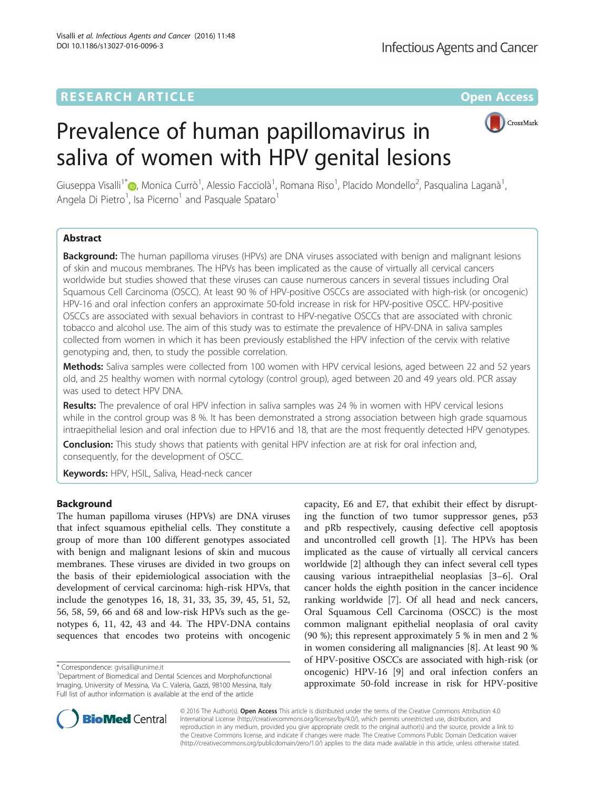## **RESEARCH ARTICLE External Structure Community Community Community Community Community Community Community Community**



# Prevalence of human papillomavirus in saliva of women with HPV genital lesions

Giuseppa Visalli<sup>1\*</sup>®[,](http://orcid.org/0000-0002-9072-1148) Monica Currò<sup>1</sup>, Alessio Facciolà<sup>1</sup>, Romana Riso<sup>1</sup>, Placido Mondello<sup>2</sup>, Pasqualina Laganà<sup>1</sup> , Angela Di Pietro<sup>1</sup>, Isa Picerno<sup>1</sup> and Pasquale Spataro<sup>1</sup>

## Abstract

**Background:** The human papilloma viruses (HPVs) are DNA viruses associated with benign and malignant lesions of skin and mucous membranes. The HPVs has been implicated as the cause of virtually all cervical cancers worldwide but studies showed that these viruses can cause numerous cancers in several tissues including Oral Squamous Cell Carcinoma (OSCC). At least 90 % of HPV-positive OSCCs are associated with high-risk (or oncogenic) HPV-16 and oral infection confers an approximate 50-fold increase in risk for HPV-positive OSCC. HPV-positive OSCCs are associated with sexual behaviors in contrast to HPV-negative OSCCs that are associated with chronic tobacco and alcohol use. The aim of this study was to estimate the prevalence of HPV-DNA in saliva samples collected from women in which it has been previously established the HPV infection of the cervix with relative genotyping and, then, to study the possible correlation.

Methods: Saliva samples were collected from 100 women with HPV cervical lesions, aged between 22 and 52 years old, and 25 healthy women with normal cytology (control group), aged between 20 and 49 years old. PCR assay was used to detect HPV DNA.

Results: The prevalence of oral HPV infection in saliva samples was 24 % in women with HPV cervical lesions while in the control group was 8 %. It has been demonstrated a strong association between high grade squamous intraepithelial lesion and oral infection due to HPV16 and 18, that are the most frequently detected HPV genotypes.

**Conclusion:** This study shows that patients with genital HPV infection are at risk for oral infection and, consequently, for the development of OSCC.

Keywords: HPV, HSIL, Saliva, Head-neck cancer

## Background

The human papilloma viruses (HPVs) are DNA viruses that infect squamous epithelial cells. They constitute a group of more than 100 different genotypes associated with benign and malignant lesions of skin and mucous membranes. These viruses are divided in two groups on the basis of their epidemiological association with the development of cervical carcinoma: high-risk HPVs, that include the genotypes 16, 18, 31, 33, 35, 39, 45, 51, 52, 56, 58, 59, 66 and 68 and low-risk HPVs such as the genotypes 6, 11, 42, 43 and 44. The HPV-DNA contains sequences that encodes two proteins with oncogenic

capacity, E6 and E7, that exhibit their effect by disrupting the function of two tumor suppressor genes, p53 and pRb respectively, causing defective cell apoptosis and uncontrolled cell growth [\[1](#page-5-0)]. The HPVs has been implicated as the cause of virtually all cervical cancers worldwide [[2\]](#page-5-0) although they can infect several cell types causing various intraepithelial neoplasias [[3](#page-5-0)–[6](#page-5-0)]. Oral cancer holds the eighth position in the cancer incidence ranking worldwide [[7](#page-5-0)]. Of all head and neck cancers, Oral Squamous Cell Carcinoma (OSCC) is the most common malignant epithelial neoplasia of oral cavity (90 %); this represent approximately 5 % in men and 2 % in women considering all malignancies [[8\]](#page-5-0). At least 90 % of HPV-positive OSCCs are associated with high-risk (or oncogenic) HPV-16 [[9](#page-5-0)] and oral infection confers an approximate 50-fold increase in risk for HPV-positive



© 2016 The Author(s). Open Access This article is distributed under the terms of the Creative Commons Attribution 4.0 International License [\(http://creativecommons.org/licenses/by/4.0/](http://creativecommons.org/licenses/by/4.0/)), which permits unrestricted use, distribution, and reproduction in any medium, provided you give appropriate credit to the original author(s) and the source, provide a link to the Creative Commons license, and indicate if changes were made. The Creative Commons Public Domain Dedication waiver [\(http://creativecommons.org/publicdomain/zero/1.0/](http://creativecommons.org/publicdomain/zero/1.0/)) applies to the data made available in this article, unless otherwise stated.

<sup>\*</sup> Correspondence: [gvisalli@unime.it](mailto:gvisalli@unime.it) <sup>1</sup>

<sup>&</sup>lt;sup>1</sup>Department of Biomedical and Dental Sciences and Morphofunctional Imaging, University of Messina, Via C. Valeria, Gazzi, 98100 Messina, Italy Full list of author information is available at the end of the article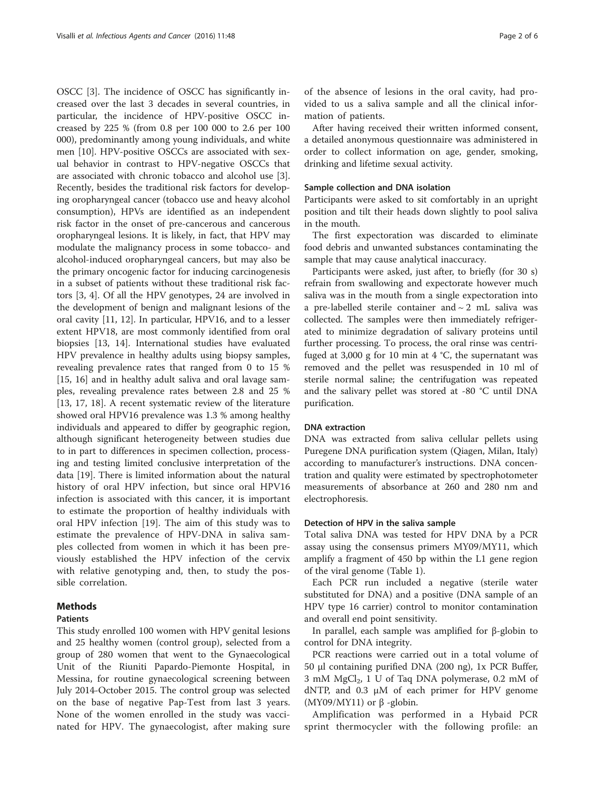OSCC [[3\]](#page-5-0). The incidence of OSCC has significantly increased over the last 3 decades in several countries, in particular, the incidence of HPV-positive OSCC increased by 225 % (from 0.8 per 100 000 to 2.6 per 100 000), predominantly among young individuals, and white men [\[10](#page-5-0)]. HPV-positive OSCCs are associated with sexual behavior in contrast to HPV-negative OSCCs that are associated with chronic tobacco and alcohol use [\[3](#page-5-0)]. Recently, besides the traditional risk factors for developing oropharyngeal cancer (tobacco use and heavy alcohol consumption), HPVs are identified as an independent risk factor in the onset of pre-cancerous and cancerous oropharyngeal lesions. It is likely, in fact, that HPV may modulate the malignancy process in some tobacco- and alcohol-induced oropharyngeal cancers, but may also be the primary oncogenic factor for inducing carcinogenesis in a subset of patients without these traditional risk factors [\[3, 4](#page-5-0)]. Of all the HPV genotypes, 24 are involved in the development of benign and malignant lesions of the oral cavity [[11](#page-5-0), [12\]](#page-5-0). In particular, HPV16, and to a lesser extent HPV18, are most commonly identified from oral biopsies [[13, 14](#page-5-0)]. International studies have evaluated HPV prevalence in healthy adults using biopsy samples, revealing prevalence rates that ranged from 0 to 15 % [[15, 16](#page-5-0)] and in healthy adult saliva and oral lavage samples, revealing prevalence rates between 2.8 and 25 % [[13, 17](#page-5-0), [18\]](#page-5-0). A recent systematic review of the literature showed oral HPV16 prevalence was 1.3 % among healthy individuals and appeared to differ by geographic region, although significant heterogeneity between studies due to in part to differences in specimen collection, processing and testing limited conclusive interpretation of the data [\[19](#page-5-0)]. There is limited information about the natural history of oral HPV infection, but since oral HPV16 infection is associated with this cancer, it is important to estimate the proportion of healthy individuals with oral HPV infection [\[19](#page-5-0)]. The aim of this study was to estimate the prevalence of HPV-DNA in saliva samples collected from women in which it has been previously established the HPV infection of the cervix with relative genotyping and, then, to study the possible correlation.

## **Methods**

## **Patients**

This study enrolled 100 women with HPV genital lesions and 25 healthy women (control group), selected from a group of 280 women that went to the Gynaecological Unit of the Riuniti Papardo-Piemonte Hospital, in Messina, for routine gynaecological screening between July 2014-October 2015. The control group was selected on the base of negative Pap-Test from last 3 years. None of the women enrolled in the study was vaccinated for HPV. The gynaecologist, after making sure

of the absence of lesions in the oral cavity, had provided to us a saliva sample and all the clinical information of patients.

After having received their written informed consent, a detailed anonymous questionnaire was administered in order to collect information on age, gender, smoking, drinking and lifetime sexual activity.

## Sample collection and DNA isolation

Participants were asked to sit comfortably in an upright position and tilt their heads down slightly to pool saliva in the mouth.

The first expectoration was discarded to eliminate food debris and unwanted substances contaminating the sample that may cause analytical inaccuracy.

Participants were asked, just after, to briefly (for 30 s) refrain from swallowing and expectorate however much saliva was in the mouth from a single expectoration into a pre-labelled sterile container and  $\sim$  2 mL saliva was collected. The samples were then immediately refrigerated to minimize degradation of salivary proteins until further processing. To process, the oral rinse was centrifuged at 3,000 g for 10 min at  $4 °C$ , the supernatant was removed and the pellet was resuspended in 10 ml of sterile normal saline; the centrifugation was repeated and the salivary pellet was stored at -80 °C until DNA purification.

## DNA extraction

DNA was extracted from saliva cellular pellets using Puregene DNA purification system (Qiagen, Milan, Italy) according to manufacturer's instructions. DNA concentration and quality were estimated by spectrophotometer measurements of absorbance at 260 and 280 nm and electrophoresis.

## Detection of HPV in the saliva sample

Total saliva DNA was tested for HPV DNA by a PCR assay using the consensus primers MY09/MY11, which amplify a fragment of 450 bp within the L1 gene region of the viral genome (Table [1\)](#page-2-0).

Each PCR run included a negative (sterile water substituted for DNA) and a positive (DNA sample of an HPV type 16 carrier) control to monitor contamination and overall end point sensitivity.

In parallel, each sample was amplified for β-globin to control for DNA integrity.

PCR reactions were carried out in a total volume of 50 μl containing purified DNA (200 ng), 1x PCR Buffer, 3 mM MgCl<sub>2</sub>, 1 U of Taq DNA polymerase, 0.2 mM of dNTP, and 0.3 μM of each primer for HPV genome (MY09/MY11) or  $\beta$  -globin.

Amplification was performed in a Hybaid PCR sprint thermocycler with the following profile: an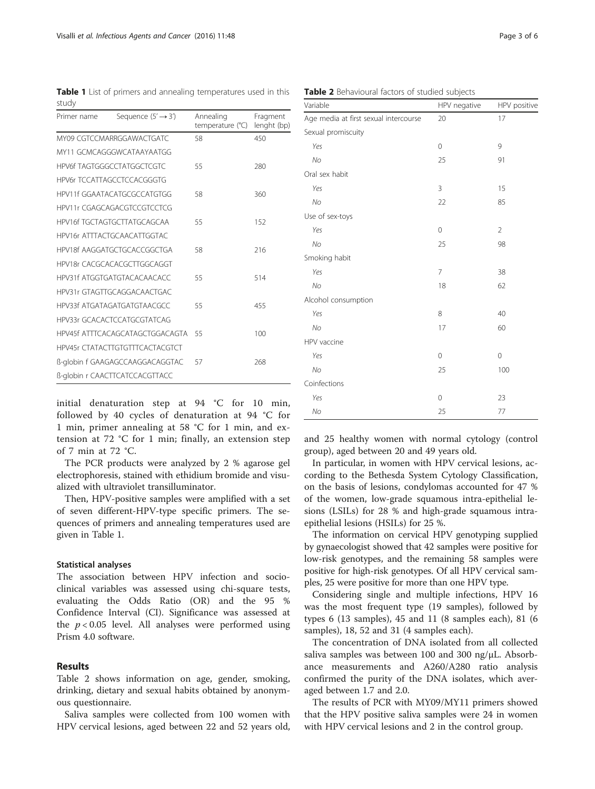<span id="page-2-0"></span>Table 1 List of primers and annealing temperatures used in this study

| Primer name                 | Sequence $(5' \rightarrow 3')$    | Annealing<br>temperature $(^{\circ}C)$ | Fragment<br>lenght (bp) |
|-----------------------------|-----------------------------------|----------------------------------------|-------------------------|
| MY09 CGTCCMARRGGAWACTGATC   |                                   | 58                                     | 450                     |
|                             | MY11 GCMCAGGGWCATAAYAATGG         |                                        |                         |
|                             | HPV6f TAGTGGGCCTATGGCTCGTC        | 55                                     | 280                     |
|                             | <b>HPV6r TCCATTAGCCTCCACGGGTG</b> |                                        |                         |
|                             | HPV11f GGAATACATGCGCCATGTGG       | 58                                     | 360                     |
|                             | HPV11r CGAGCAGACGTCCGTCCTCG       |                                        |                         |
|                             | HPV16f TGCTAGTGCTTATGCAGCAA       | 55                                     | 152                     |
|                             | HPV16r ATTTACTGCAACATTGGTAC       |                                        |                         |
|                             | HPV18f AAGGATGCTGCACCGGCTGA       | 58                                     | 216                     |
|                             | HPV18r CACGCACACGCTTGGCAGGT       |                                        |                         |
|                             | HPV31f ATGGTGATGTACACAACACC       | 55                                     | 514                     |
|                             | HPV31r GTAGTTGCAGGACAACTGAC       |                                        |                         |
| HPV33f ATGATAGATGATGTAACGCC |                                   | 55                                     | 455                     |
|                             | HPV33r GCACACTCCATGCGTATCAG       |                                        |                         |
|                             | HPV45f ATTTCACAGCATAGCTGGACAGTA   | 55                                     | 100                     |
|                             | HPV45r CTATACTTGTGTTTCACTACGTCT   |                                        |                         |
|                             | ß-globin f GAAGAGCCAAGGACAGGTAC   | 57                                     | 268                     |
|                             | ß-globin r CAACTTCATCCACGTTACC    |                                        |                         |

initial denaturation step at 94 °C for 10 min, followed by 40 cycles of denaturation at 94 °C for 1 min, primer annealing at 58 °C for 1 min, and extension at 72 °C for 1 min; finally, an extension step of 7 min at 72 °C.

The PCR products were analyzed by 2 % agarose gel electrophoresis, stained with ethidium bromide and visualized with ultraviolet transilluminator.

Then, HPV-positive samples were amplified with a set of seven different-HPV-type specific primers. The sequences of primers and annealing temperatures used are given in Table 1.

## Statistical analyses

The association between HPV infection and socioclinical variables was assessed using chi-square tests, evaluating the Odds Ratio (OR) and the 95 % Confidence Interval (CI). Significance was assessed at the  $p < 0.05$  level. All analyses were performed using Prism 4.0 software.

## Results

Table 2 shows information on age, gender, smoking, drinking, dietary and sexual habits obtained by anonymous questionnaire.

Saliva samples were collected from 100 women with HPV cervical lesions, aged between 22 and 52 years old,

| Variable                              | HPV negative   | HPV positive   |  |
|---------------------------------------|----------------|----------------|--|
| Age media at first sexual intercourse | 20             | 17             |  |
| Sexual promiscuity                    |                |                |  |
| Yes                                   | $\mathbf 0$    | 9              |  |
| No                                    | 25             | 91             |  |
| Oral sex habit                        |                |                |  |
| Yes                                   | 3              | 15             |  |
| No                                    | 22             | 85             |  |
| Use of sex-toys                       |                |                |  |
| Yes                                   | $\mathbf 0$    | $\overline{2}$ |  |
| No                                    | 25             | 98             |  |
| Smoking habit                         |                |                |  |
| Yes                                   | $\overline{7}$ | 38             |  |
| No                                    | 18             | 62             |  |
| Alcohol consumption                   |                |                |  |
| Yes                                   | 8              | 40             |  |
| No                                    | 17             | 60             |  |
| HPV vaccine                           |                |                |  |
| Yes                                   | $\mathbf 0$    | $\mathbf 0$    |  |
| No                                    | 25             | 100            |  |
| Coinfections                          |                |                |  |
| Yes                                   | $\mathbf 0$    | 23             |  |
| No                                    | 25             | 77             |  |

and 25 healthy women with normal cytology (control group), aged between 20 and 49 years old.

In particular, in women with HPV cervical lesions, according to the Bethesda System Cytology Classification, on the basis of lesions, condylomas accounted for 47 % of the women, low-grade squamous intra-epithelial lesions (LSILs) for 28 % and high-grade squamous intraepithelial lesions (HSILs) for 25 %.

The information on cervical HPV genotyping supplied by gynaecologist showed that 42 samples were positive for low-risk genotypes, and the remaining 58 samples were positive for high-risk genotypes. Of all HPV cervical samples, 25 were positive for more than one HPV type.

Considering single and multiple infections, HPV 16 was the most frequent type (19 samples), followed by types 6 (13 samples), 45 and 11 (8 samples each), 81 (6 samples), 18, 52 and 31 (4 samples each).

The concentration of DNA isolated from all collected saliva samples was between 100 and 300 ng/μL. Absorbance measurements and A260/A280 ratio analysis confirmed the purity of the DNA isolates, which averaged between 1.7 and 2.0.

The results of PCR with MY09/MY11 primers showed that the HPV positive saliva samples were 24 in women with HPV cervical lesions and 2 in the control group.

|  | Table 2 Behavioural factors of studied subjects |  |  |  |
|--|-------------------------------------------------|--|--|--|
|--|-------------------------------------------------|--|--|--|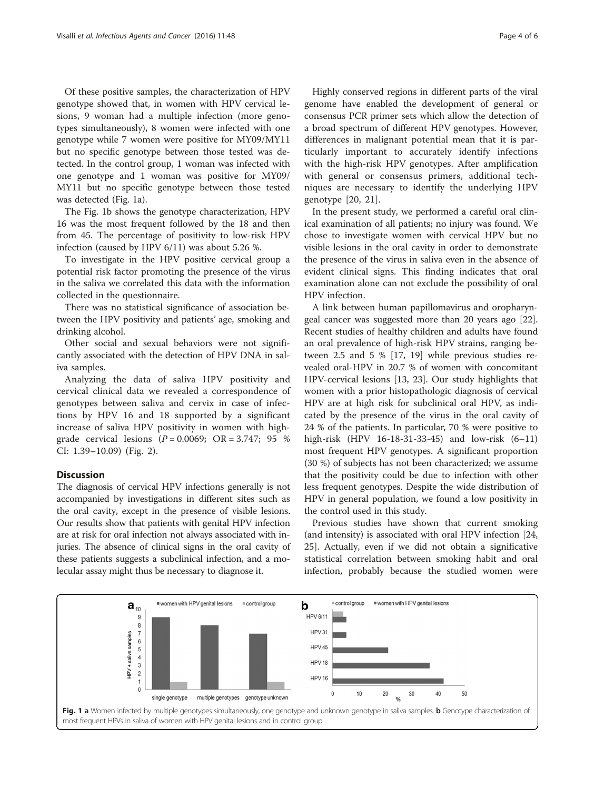Of these positive samples, the characterization of HPV genotype showed that, in women with HPV cervical lesions, 9 woman had a multiple infection (more genotypes simultaneously), 8 women were infected with one genotype while 7 women were positive for MY09/MY11 but no specific genotype between those tested was detected. In the control group, 1 woman was infected with one genotype and 1 woman was positive for MY09/ MY11 but no specific genotype between those tested was detected (Fig. 1a).

The Fig. 1b shows the genotype characterization, HPV 16 was the most frequent followed by the 18 and then from 45. The percentage of positivity to low-risk HPV infection (caused by HPV 6/11) was about 5.26 %.

To investigate in the HPV positive cervical group a potential risk factor promoting the presence of the virus in the saliva we correlated this data with the information collected in the questionnaire.

There was no statistical significance of association between the HPV positivity and patients' age, smoking and drinking alcohol.

Other social and sexual behaviors were not significantly associated with the detection of HPV DNA in saliva samples.

Analyzing the data of saliva HPV positivity and cervical clinical data we revealed a correspondence of genotypes between saliva and cervix in case of infections by HPV 16 and 18 supported by a significant increase of saliva HPV positivity in women with highgrade cervical lesions  $(P = 0.0069; \text{ OR } = 3.747; 95 \%$ CI: 1.39–10.09) (Fig. [2\)](#page-4-0).

## **Discussion**

The diagnosis of cervical HPV infections generally is not accompanied by investigations in different sites such as the oral cavity, except in the presence of visible lesions. Our results show that patients with genital HPV infection are at risk for oral infection not always associated with injuries. The absence of clinical signs in the oral cavity of these patients suggests a subclinical infection, and a molecular assay might thus be necessary to diagnose it.

Highly conserved regions in different parts of the viral genome have enabled the development of general or consensus PCR primer sets which allow the detection of a broad spectrum of different HPV genotypes. However, differences in malignant potential mean that it is particularly important to accurately identify infections with the high-risk HPV genotypes. After amplification with general or consensus primers, additional techniques are necessary to identify the underlying HPV genotype [\[20](#page-5-0), [21\]](#page-5-0).

In the present study, we performed a careful oral clinical examination of all patients; no injury was found. We chose to investigate women with cervical HPV but no visible lesions in the oral cavity in order to demonstrate the presence of the virus in saliva even in the absence of evident clinical signs. This finding indicates that oral examination alone can not exclude the possibility of oral HPV infection.

A link between human papillomavirus and oropharyngeal cancer was suggested more than 20 years ago [\[22](#page-5-0)]. Recent studies of healthy children and adults have found an oral prevalence of high-risk HPV strains, ranging between 2.5 and 5 % [\[17, 19\]](#page-5-0) while previous studies revealed oral-HPV in 20.7 % of women with concomitant HPV-cervical lesions [[13](#page-5-0), [23](#page-5-0)]. Our study highlights that women with a prior histopathologic diagnosis of cervical HPV are at high risk for subclinical oral HPV, as indicated by the presence of the virus in the oral cavity of 24 % of the patients. In particular, 70 % were positive to high-risk (HPV 16-18-31-33-45) and low-risk (6–11) most frequent HPV genotypes. A significant proportion (30 %) of subjects has not been characterized; we assume that the positivity could be due to infection with other less frequent genotypes. Despite the wide distribution of HPV in general population, we found a low positivity in the control used in this study.

Previous studies have shown that current smoking (and intensity) is associated with oral HPV infection [[24](#page-5-0), [25\]](#page-5-0). Actually, even if we did not obtain a significative statistical correlation between smoking habit and oral infection, probably because the studied women were

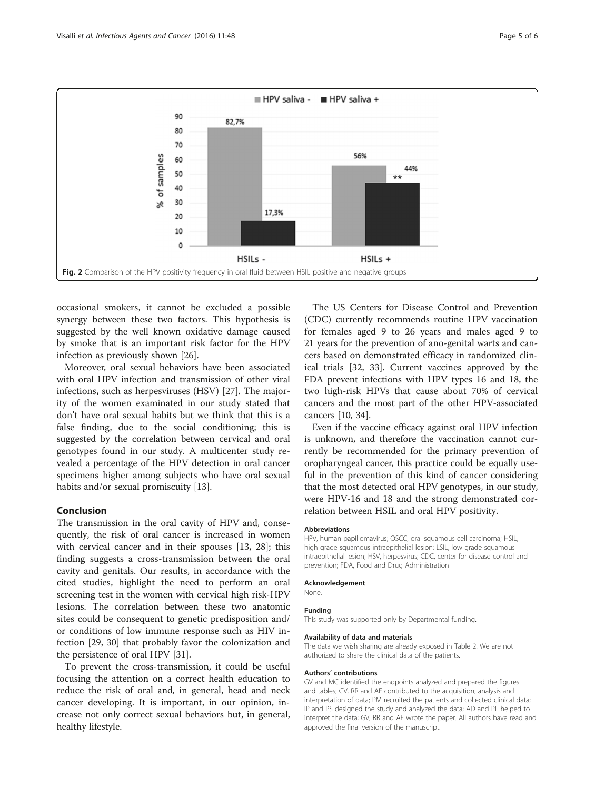<span id="page-4-0"></span>

occasional smokers, it cannot be excluded a possible synergy between these two factors. This hypothesis is suggested by the well known oxidative damage caused by smoke that is an important risk factor for the HPV infection as previously shown [\[26\]](#page-5-0).

Moreover, oral sexual behaviors have been associated with oral HPV infection and transmission of other viral infections, such as herpesviruses (HSV) [[27\]](#page-5-0). The majority of the women examinated in our study stated that don't have oral sexual habits but we think that this is a false finding, due to the social conditioning; this is suggested by the correlation between cervical and oral genotypes found in our study. A multicenter study revealed a percentage of the HPV detection in oral cancer specimens higher among subjects who have oral sexual habits and/or sexual promiscuity [\[13\]](#page-5-0).

## Conclusion

The transmission in the oral cavity of HPV and, consequently, the risk of oral cancer is increased in women with cervical cancer and in their spouses [[13, 28\]](#page-5-0); this finding suggests a cross-transmission between the oral cavity and genitals. Our results, in accordance with the cited studies, highlight the need to perform an oral screening test in the women with cervical high risk-HPV lesions. The correlation between these two anatomic sites could be consequent to genetic predisposition and/ or conditions of low immune response such as HIV infection [\[29](#page-5-0), [30\]](#page-5-0) that probably favor the colonization and the persistence of oral HPV [\[31](#page-5-0)].

To prevent the cross-transmission, it could be useful focusing the attention on a correct health education to reduce the risk of oral and, in general, head and neck cancer developing. It is important, in our opinion, increase not only correct sexual behaviors but, in general, healthy lifestyle.

The US Centers for Disease Control and Prevention (CDC) currently recommends routine HPV vaccination for females aged 9 to 26 years and males aged 9 to 21 years for the prevention of ano-genital warts and cancers based on demonstrated efficacy in randomized clinical trials [[32, 33\]](#page-5-0). Current vaccines approved by the FDA prevent infections with HPV types 16 and 18, the two high-risk HPVs that cause about 70% of cervical cancers and the most part of the other HPV-associated cancers [\[10](#page-5-0), [34](#page-5-0)].

Even if the vaccine efficacy against oral HPV infection is unknown, and therefore the vaccination cannot currently be recommended for the primary prevention of oropharyngeal cancer, this practice could be equally useful in the prevention of this kind of cancer considering that the most detected oral HPV genotypes, in our study, were HPV-16 and 18 and the strong demonstrated correlation between HSIL and oral HPV positivity.

## Abbreviations

HPV, human papillomavirus; OSCC, oral squamous cell carcinoma; HSIL, high grade squamous intraepithelial lesion; LSIL, low grade squamous intraepithelial lesion; HSV, herpesvirus; CDC, center for disease control and prevention; FDA, Food and Drug Administration

#### Acknowledgement

None.

#### Funding

This study was supported only by Departmental funding.

#### Availability of data and materials

The data we wish sharing are already exposed in Table [2.](#page-2-0) We are not authorized to share the clinical data of the patients.

#### Authors' contributions

GV and MC identified the endpoints analyzed and prepared the figures and tables; GV, RR and AF contributed to the acquisition, analysis and interpretation of data; PM recruited the patients and collected clinical data; IP and PS designed the study and analyzed the data; AD and PL helped to interpret the data; GV, RR and AF wrote the paper. All authors have read and approved the final version of the manuscript.